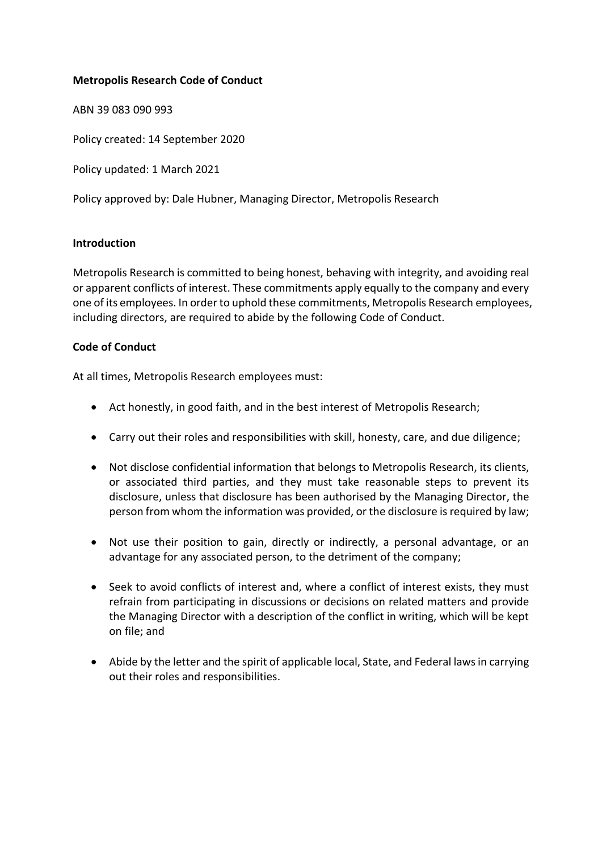## **Metropolis Research Code of Conduct**

ABN 39 083 090 993

Policy created: 14 September 2020

Policy updated: 1 March 2021

Policy approved by: Dale Hubner, Managing Director, Metropolis Research

## **Introduction**

Metropolis Research is committed to being honest, behaving with integrity, and avoiding real or apparent conflicts of interest. These commitments apply equally to the company and every one of its employees. In order to uphold these commitments, Metropolis Research employees, including directors, are required to abide by the following Code of Conduct.

## **Code of Conduct**

At all times, Metropolis Research employees must:

- Act honestly, in good faith, and in the best interest of Metropolis Research;
- Carry out their roles and responsibilities with skill, honesty, care, and due diligence;
- Not disclose confidential information that belongs to Metropolis Research, its clients, or associated third parties, and they must take reasonable steps to prevent its disclosure, unless that disclosure has been authorised by the Managing Director, the person from whom the information was provided, or the disclosure is required by law;
- Not use their position to gain, directly or indirectly, a personal advantage, or an advantage for any associated person, to the detriment of the company;
- Seek to avoid conflicts of interest and, where a conflict of interest exists, they must refrain from participating in discussions or decisions on related matters and provide the Managing Director with a description of the conflict in writing, which will be kept on file; and
- Abide by the letter and the spirit of applicable local, State, and Federal laws in carrying out their roles and responsibilities.